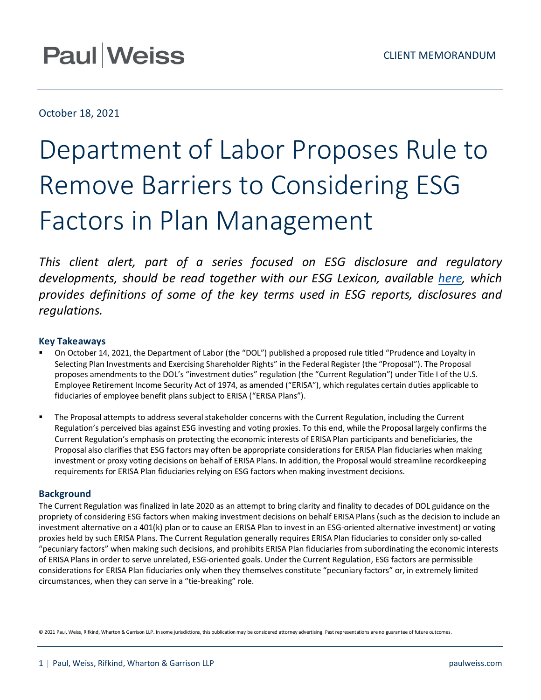## October 18, 2021

# Department of Labor Proposes Rule to Remove Barriers to Considering ESG Factors in Plan Management

*This client alert, part of a series focused on ESG disclosure and regulatory developments, should be read together with our ESG Lexicon, available [here,](https://www.paulweiss.com/practices/sustainability-esg/practice-overview/esg-lexicon) which provides definitions of some of the key terms used in ESG reports, disclosures and regulations.*

### **Key Takeaways**

- On October 14, 2021, the Department of Labor (the "DOL") published a proposed rule titled "Prudence and Loyalty in Selecting Plan Investments and Exercising Shareholder Rights" in the Federal Register (the "Proposal"). The Proposal proposes amendments to the DOL's "investment duties" regulation (the "Current Regulation") under Title I of the U.S. Employee Retirement Income Security Act of 1974, as amended ("ERISA"), which regulates certain duties applicable to fiduciaries of employee benefit plans subject to ERISA ("ERISA Plans").
- The Proposal attempts to address several stakeholder concerns with the Current Regulation, including the Current Regulation's perceived bias against ESG investing and voting proxies. To this end, while the Proposal largely confirms the Current Regulation's emphasis on protecting the economic interests of ERISA Plan participants and beneficiaries, the Proposal also clarifies that ESG factors may often be appropriate considerations for ERISA Plan fiduciaries when making investment or proxy voting decisions on behalf of ERISA Plans. In addition, the Proposal would streamline recordkeeping requirements for ERISA Plan fiduciaries relying on ESG factors when making investment decisions.

#### **Background**

The Current Regulation was finalized in late 2020 as an attempt to bring clarity and finality to decades of DOL guidance on the propriety of considering ESG factors when making investment decisions on behalf ERISA Plans (such as the decision to include an investment alternative on a 401(k) plan or to cause an ERISA Plan to invest in an ESG-oriented alternative investment) or voting proxies held by such ERISA Plans. The Current Regulation generally requires ERISA Plan fiduciaries to consider only so-called "pecuniary factors" when making such decisions, and prohibits ERISA Plan fiduciaries from subordinating the economic interests of ERISA Plans in order to serve unrelated, ESG-oriented goals. Under the Current Regulation, ESG factors are permissible considerations for ERISA Plan fiduciaries only when they themselves constitute "pecuniary factors" or, in extremely limited circumstances, when they can serve in a "tie-breaking" role.

© 2021 Paul, Weiss, Rifkind, Wharton & Garrison LLP. In some jurisdictions, this publication may be considered attorney advertising. Past representations are no guarantee of future outcomes.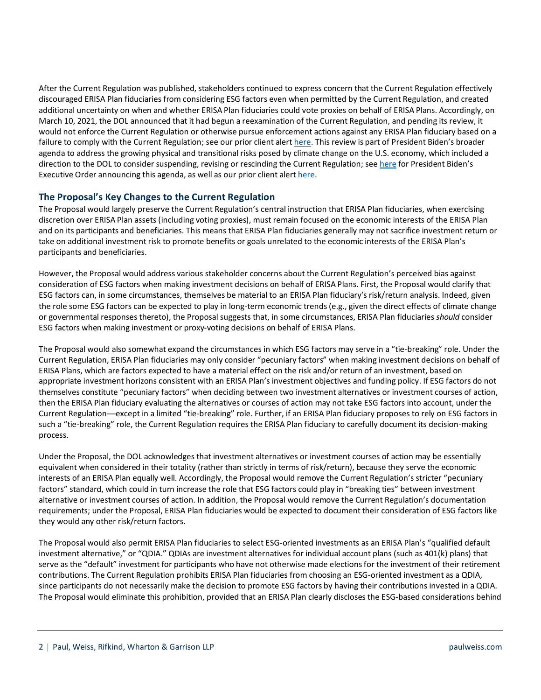After the Current Regulation was published, stakeholders continued to express concern that the Current Regulation effectively discouraged ERISA Plan fiduciaries from considering ESG factors even when permitted by the Current Regulation, and created additional uncertainty on when and whether ERISA Plan fiduciaries could vote proxies on behalf of ERISA Plans. Accordingly, on March 10, 2021, the DOL announced that it had begun a reexamination of the Current Regulation, and pending its review, it would not enforce the Current Regulation or otherwise pursue enforcement actions against any ERISA Plan fiduciary based on a failure to comply with the Current Regulation; see our prior client alert [here.](https://www.paulweiss.com/practices/transactional/executive-compensation/publications/us-department-of-labor-will-not-enforce-final-rules-on-esg-investing-proxy-voting?id=39564) This review is part of President Biden's broader agenda to address the growing physical and transitional risks posed by climate change on the U.S. economy, which included a direction to the DOL to consider suspending, revising or rescinding the Current Regulation; se[e here](https://www.whitehouse.gov/briefing-room/presidential-actions/2021/05/20/executive-order-on-climate-related-financial-risk/) for President Biden's Executive Order announcing this agenda, as well as our prior client aler[t here.](https://www.paulweiss.com/insights/esg-thought-leadership/publications/president-biden-calls-on-federal-government-to-mitigate-climate-related-financial-risk?id=40177)

#### **The Proposal's Key Changes to the Current Regulation**

The Proposal would largely preserve the Current Regulation's central instruction that ERISA Plan fiduciaries, when exercising discretion over ERISA Plan assets (including voting proxies), must remain focused on the economic interests of the ERISA Plan and on its participants and beneficiaries. This means that ERISA Plan fiduciaries generally may not sacrifice investment return or take on additional investment risk to promote benefits or goals unrelated to the economic interests of the ERISA Plan's participants and beneficiaries.

However, the Proposal would address various stakeholder concerns about the Current Regulation's perceived bias against consideration of ESG factors when making investment decisions on behalf of ERISA Plans. First, the Proposal would clarify that ESG factors can, in some circumstances, themselves be material to an ERISA Plan fiduciary's risk/return analysis. Indeed, given the role some ESG factors can be expected to play in long-term economic trends (e.g., given the direct effects of climate change or governmental responses thereto), the Proposal suggests that, in some circumstances, ERISA Plan fiduciaries *should* consider ESG factors when making investment or proxy-voting decisions on behalf of ERISA Plans.

The Proposal would also somewhat expand the circumstances in which ESG factors may serve in a "tie-breaking" role. Under the Current Regulation, ERISA Plan fiduciaries may only consider "pecuniary factors" when making investment decisions on behalf of ERISA Plans, which are factors expected to have a material effect on the risk and/or return of an investment, based on appropriate investment horizons consistent with an ERISA Plan's investment objectives and funding policy. If ESG factors do not themselves constitute "pecuniary factors" when deciding between two investment alternatives or investment courses of action, then the ERISA Plan fiduciary evaluating the alternatives or courses of action may not take ESG factors into account, under the Current Regulation—except in a limited "tie-breaking" role. Further, if an ERISA Plan fiduciary proposes to rely on ESG factors in such a "tie-breaking" role, the Current Regulation requires the ERISA Plan fiduciary to carefully document its decision-making process.

Under the Proposal, the DOL acknowledges that investment alternatives or investment courses of action may be essentially equivalent when considered in their totality (rather than strictly in terms of risk/return), because they serve the economic interests of an ERISA Plan equally well. Accordingly, the Proposal would remove the Current Regulation's stricter "pecuniary factors" standard, which could in turn increase the role that ESG factors could play in "breaking ties" between investment alternative or investment courses of action. In addition, the Proposal would remove the Current Regulation's documentation requirements; under the Proposal, ERISA Plan fiduciaries would be expected to document their consideration of ESG factors like they would any other risk/return factors.

The Proposal would also permit ERISA Plan fiduciaries to select ESG-oriented investments as an ERISA Plan's "qualified default investment alternative," or "QDIA." QDIAs are investment alternatives for individual account plans (such as 401(k) plans) that serve as the "default" investment for participants who have not otherwise made elections for the investment of their retirement contributions. The Current Regulation prohibits ERISA Plan fiduciaries from choosing an ESG-oriented investment as a QDIA, since participants do not necessarily make the decision to promote ESG factors by having their contributions invested in a QDIA. The Proposal would eliminate this prohibition, provided that an ERISA Plan clearly discloses the ESG-based considerations behind